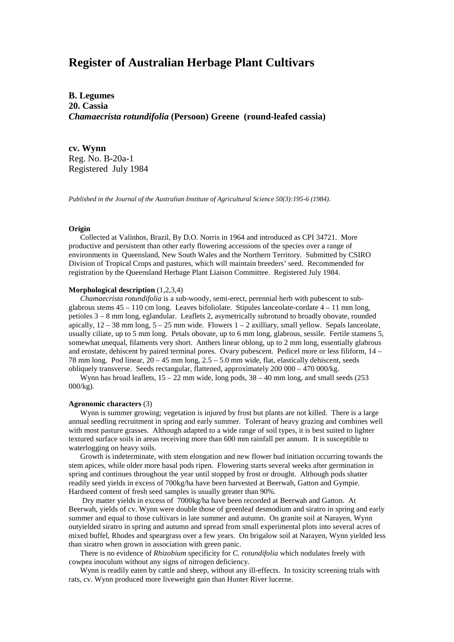# **Register of Australian Herbage Plant Cultivars**

**B. Legumes 20. Cassia** *Chamaecrista rotundifolia* **(Persoon) Greene (round-leafed cassia)**

**cv. Wynn** Reg. No. B-20a-1 Registered July 1984

*Published in the Journal of the Australian Institute of Agricultural Science 50(3):195-6 (1984).*

## **Origin**

 Collected at Valinhos, Brazil, By D.O. Norris in 1964 and introduced as CPI 34721. More productive and persistent than other early flowering accessions of the species over a range of environments in Queensland, New South Wales and the Northern Territory. Submitted by CSIRO Division of Tropical Crops and pastures, which will maintain breeders' seed. Recommended for registration by the Queensland Herbage Plant Liaison Committee. Registered July 1984.

### **Morphological description** (1,2,3,4)

 *Chamaecrista rotundifolia* is a sub-woody, semi-erect, perennial herb with pubescent to subglabrous stems  $45 - 110$  cm long. Leaves bifoliolate. Stipules lanceolate-cordate  $4 - 11$  mm long, petioles 3 – 8 mm long, eglandular. Leaflets 2, asymetrically subrotund to broadly obovate, rounded apically,  $12 - 38$  mm long,  $5 - 25$  mm wide. Flowers  $1 - 2$  axilliary, small yellow. Sepals lanceolate, usually ciliate, up to 5 mm long. Petals obovate, up to 6 mm long, glabrous, sessile. Fertile stamens 5, somewhat unequal, filaments very short. Anthers linear oblong, up to 2 mm long, essentially glabrous and erostate, dehiscent by paired terminal pores. Ovary pubescent. Pedicel more or less filiform, 14 – 78 mm long. Pod linear, 20 – 45 mm long, 2.5 – 5.0 mm wide, flat, elastically dehiscent, seeds obliquely transverse. Seeds rectangular, flattened, approximately 200 000 – 470 000/kg.

Wynn has broad leaflets,  $15 - 22$  mm wide, long pods,  $38 - 40$  mm long, and small seeds (253) 000/kg).

#### **Agronomic characters** (3)

 Wynn is summer growing; vegetation is injured by frost but plants are not killed. There is a large annual seedling recruitment in spring and early summer. Tolerant of heavy grazing and combines well with most pasture grasses. Although adapted to a wide range of soil types, it is best suited to lighter textured surface soils in areas receiving more than 600 mm rainfall per annum. It is susceptible to waterlogging on heavy soils.

 Growth is indeterminate, with stem elongation and new flower bud initiation occurring towards the stem apices, while older more basal pods ripen. Flowering starts several weeks after germination in spring and continues throughout the year until stopped by frost or drought. Although pods shatter readily seed yields in excess of 700kg/ha have been harvested at Beerwah, Gatton and Gympie. Hardseed content of fresh seed samples is usually greater than 90%.

 Dry matter yields in excess of 7000kg/ha have been recorded at Beerwah and Gatton. At Beerwah, yields of cv. Wynn were double those of greenleaf desmodium and siratro in spring and early summer and equal to those cultivars in late summer and autumn. On granite soil at Narayen, Wynn outyielded siratro in spring and autumn and spread from small experimental plots into several acres of mixed buffel, Rhodes and speargrass over a few years. On brigalow soil at Narayen, Wynn yielded less than siratro when grown in association with green panic.

 There is no evidence of *Rhizobium* specificity for *C. rotundifolia* which nodulates freely with cowpea inoculum without any signs of nitrogen deficiency.

 Wynn is readily eaten by cattle and sheep, without any ill-effects. In toxicity screening trials with rats, cv. Wynn produced more liveweight gain than Hunter River lucerne.